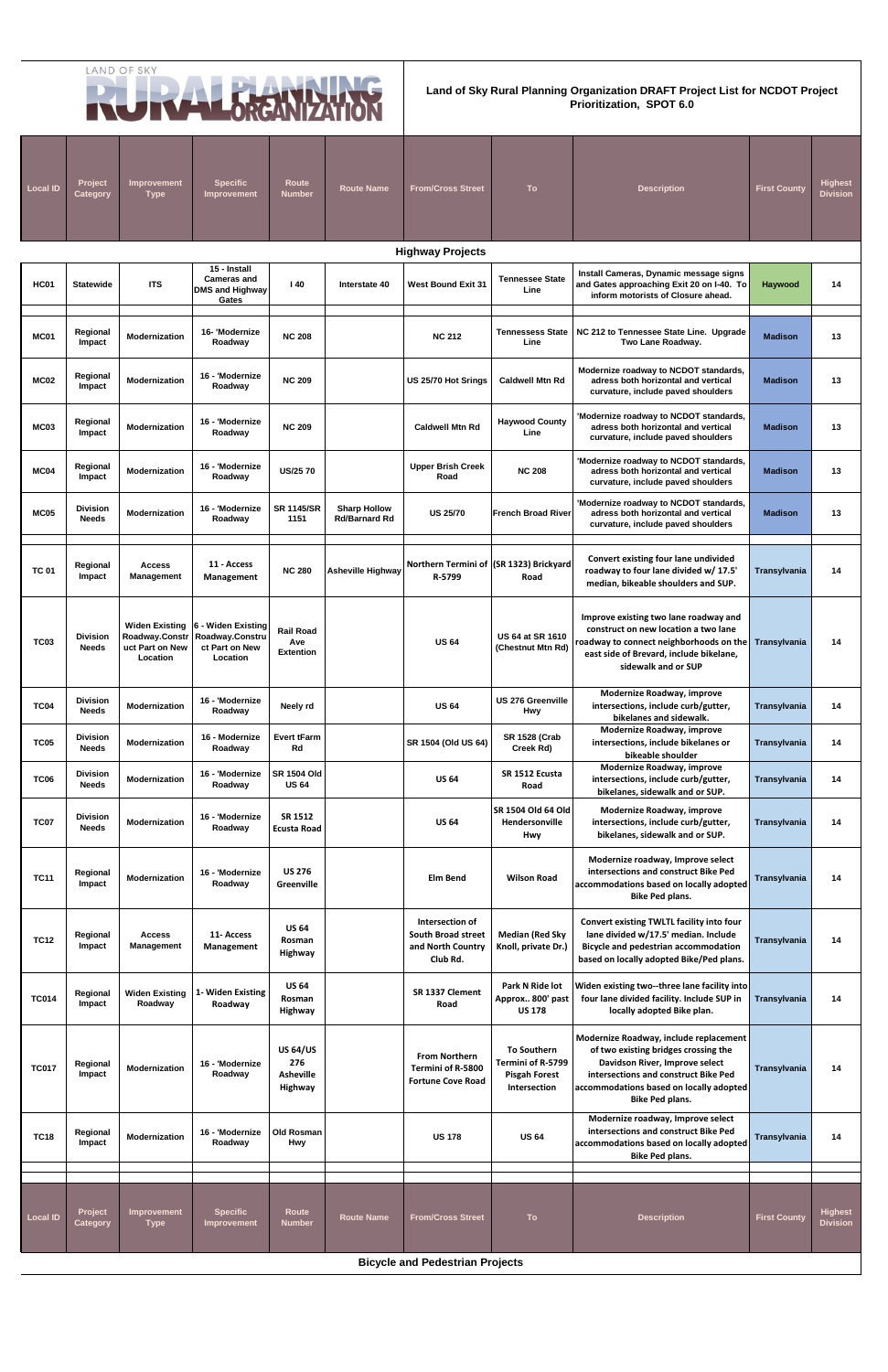## LAND OF SKY

## bN **ALL DREAMENT**  $\blacksquare$

| <b>Local ID</b> | Project<br><b>Category</b>      | Improvement<br><b>Type</b>       | <b>Specific</b><br>Improvement                                                                      | <b>Route</b><br><b>Number</b>                         | <b>Route Name</b>                           | <b>From/Cross Street</b>                                                      | To                                                                              | <b>Description</b>                                                                                                                                                                                                            | <b>First County</b> | <b>Highest</b><br><b>Division</b> |
|-----------------|---------------------------------|----------------------------------|-----------------------------------------------------------------------------------------------------|-------------------------------------------------------|---------------------------------------------|-------------------------------------------------------------------------------|---------------------------------------------------------------------------------|-------------------------------------------------------------------------------------------------------------------------------------------------------------------------------------------------------------------------------|---------------------|-----------------------------------|
|                 |                                 |                                  |                                                                                                     |                                                       |                                             | <b>Highway Projects</b>                                                       |                                                                                 |                                                                                                                                                                                                                               |                     |                                   |
| <b>HC01</b>     | <b>Statewide</b>                | <b>ITS</b>                       | 15 - Install<br><b>Cameras and</b><br><b>DMS and Highway</b><br>Gates                               | 140                                                   | Interstate 40                               | <b>West Bound Exit 31</b>                                                     | <b>Tennessee State</b><br>Line                                                  | Install Cameras, Dynamic message signs<br>and Gates approaching Exit 20 on I-40. To<br>inform motorists of Closure ahead.                                                                                                     | Haywood             | 14                                |
| MC01            | Regional<br>Impact              | Modernization                    | 16- 'Modernize<br>Roadway                                                                           | <b>NC 208</b>                                         |                                             | <b>NC 212</b>                                                                 | <b>Tennessess State</b><br>Line                                                 | NC 212 to Tennessee State Line. Upgrade<br>Two Lane Roadway.                                                                                                                                                                  | <b>Madison</b>      | 13                                |
| <b>MC02</b>     | Regional<br>Impact              | Modernization                    | 16 - 'Modernize<br>Roadway                                                                          | <b>NC 209</b>                                         |                                             | US 25/70 Hot Srings                                                           | <b>Caldwell Mtn Rd</b>                                                          | Modernize roadway to NCDOT standards,<br>adress both horizontal and vertical<br>curvature, include paved shoulders                                                                                                            | <b>Madison</b>      | 13                                |
| <b>MC03</b>     | Regional<br>Impact              | <b>Modernization</b>             | 16 - 'Modernize<br>Roadway                                                                          | <b>NC 209</b>                                         |                                             | <b>Caldwell Mtn Rd</b>                                                        | <b>Haywood County</b><br>Line                                                   | Modernize roadway to NCDOT standards,<br>adress both horizontal and vertical<br>curvature, include paved shoulders                                                                                                            | <b>Madison</b>      | 13                                |
| MC04            | Regional<br>Impact              | Modernization                    | 16 - 'Modernize<br>Roadway                                                                          | <b>US/25 70</b>                                       |                                             | <b>Upper Brish Creek</b><br>Road                                              | <b>NC 208</b>                                                                   | 'Modernize roadway to NCDOT standards,<br>adress both horizontal and vertical<br>curvature, include paved shoulders                                                                                                           | <b>Madison</b>      | 13                                |
| <b>MC05</b>     | <b>Division</b><br><b>Needs</b> | Modernization                    | 16 - 'Modernize<br>Roadway                                                                          | <b>SR 1145/SR</b><br>1151                             | <b>Sharp Hollow</b><br><b>Rd/Barnard Rd</b> | <b>US 25/70</b>                                                               | <b>French Broad River</b>                                                       | 'Modernize roadway to NCDOT standards,<br>adress both horizontal and vertical<br>curvature, include paved shoulders                                                                                                           | <b>Madison</b>      | 13                                |
| <b>TC 01</b>    | Regional<br>Impact              | <b>Access</b><br>Management      | 11 - Access<br>Management                                                                           | <b>NC 280</b>                                         | <b>Asheville Highway</b>                    | Northern Termini of (SR 1323) Brickyard<br>R-5799                             | Road                                                                            | Convert existing four lane undivided<br>roadway to four lane divided w/ 17.5<br>median, bikeable shoulders and SUP.                                                                                                           | Transylvania        | 14                                |
| TC03            | <b>Division</b><br><b>Needs</b> | uct Part on New<br>Location      | Widen Existing   6 - Widen Existing<br>Roadway Constr Roadway Constru<br>ct Part on New<br>Location | <b>Rail Road</b><br>Ave<br><b>Extention</b>           |                                             | <b>US 64</b>                                                                  | <b>US 64 at SR 1610</b><br>(Chestnut Mtn Rd)                                    | Improve existing two lane roadway and<br>construct on new location a two lane<br>roadway to connect neighborhoods on the<br>east side of Brevard, include bikelane,<br>sidewalk and or SUP                                    | Transylvania        | 14                                |
| <b>TC04</b>     | <b>Division</b><br><b>Needs</b> | Modernization                    | 16 - 'Modernize<br>Roadway                                                                          | Neely rd                                              |                                             | <b>US 64</b>                                                                  | <b>US 276 Greenville</b><br>Hwy                                                 | Modernize Roadway, improve<br>intersections, include curb/gutter,<br>bikelanes and sidewalk.                                                                                                                                  | Transylvania        | 14                                |
| <b>TC05</b>     | <b>Division</b><br><b>Needs</b> | Modernization                    | 16 - Modernize<br>Roadway                                                                           | <b>Evert tFarm</b><br>Rd                              |                                             | SR 1504 (Old US 64)                                                           | <b>SR 1528 (Crab</b><br>Creek Rd)                                               | Modernize Roadway, improve<br>intersections, include bikelanes or<br>bikeable shoulder                                                                                                                                        | Transylvania        | 14                                |
| <b>TC06</b>     | <b>Division</b><br><b>Needs</b> | Modernization                    | 16 - 'Modernize<br>Roadway                                                                          | <b>SR 1504 Old</b><br><b>US 64</b>                    |                                             | <b>US 64</b>                                                                  | SR 1512 Ecusta<br>Road                                                          | Modernize Roadway, improve<br>intersections, include curb/gutter,<br>bikelanes, sidewalk and or SUP.                                                                                                                          | Transylvania        | 14                                |
| <b>TC07</b>     | <b>Division</b><br><b>Needs</b> | Modernization                    | 16 - 'Modernize<br>Roadway                                                                          | SR 1512<br><b>Ecusta Road</b>                         |                                             | <b>US 64</b>                                                                  | SR 1504 Old 64 Old<br>Hendersonville<br>Hwy                                     | Modernize Roadway, improve<br>intersections, include curb/gutter,<br>bikelanes, sidewalk and or SUP.                                                                                                                          | <b>Transylvania</b> | 14                                |
| <b>TC11</b>     | Regional<br>Impact              | Modernization                    | 16 - 'Modernize<br>Roadway                                                                          | <b>US 276</b><br>Greenville                           |                                             | <b>Elm Bend</b>                                                               | <b>Wilson Road</b>                                                              | Modernize roadway, Improve select<br>intersections and construct Bike Ped<br>accommodations based on locally adopted<br><b>Bike Ped plans.</b>                                                                                | Transylvania        | 14                                |
| <b>TC12</b>     | Regional<br>Impact              | Access<br>Management             | 11- Access<br>Management                                                                            | <b>US 64</b><br>Rosman<br>Highway                     |                                             | Intersection of<br><b>South Broad street</b><br>and North Country<br>Club Rd. | <b>Median (Red Sky</b><br>Knoll, private Dr.)                                   | Convert existing TWLTL facility into four<br>lane divided w/17.5' median. Include<br><b>Bicycle and pedestrian accommodation</b><br>based on locally adopted Bike/Ped plans.                                                  | Transylvania        | 14                                |
| <b>TC014</b>    | Regional<br>Impact              | <b>Widen Existing</b><br>Roadway | 1- Widen Existing<br>Roadway                                                                        | <b>US 64</b><br>Rosman<br>Highway                     |                                             | SR 1337 Clement<br>Road                                                       | Park N Ride lot<br>Approx 800' past<br><b>US 178</b>                            | Widen existing two--three lane facility into<br>four lane divided facility. Include SUP in<br>locally adopted Bike plan.                                                                                                      | Transylvania        | 14                                |
| <b>TC017</b>    | Regional<br>Impact              | Modernization                    | 16 - 'Modernize<br>Roadway                                                                          | <b>US 64/US</b><br>276<br><b>Asheville</b><br>Highway |                                             | <b>From Northern</b><br>Termini of R-5800<br><b>Fortune Cove Road</b>         | <b>To Southern</b><br>Termini of R-5799<br><b>Pisgah Forest</b><br>Intersection | Modernize Roadway, include replacement<br>of two existing bridges crossing the<br>Davidson River, Improve select<br>intersections and construct Bike Ped<br>accommodations based on locally adopted<br><b>Bike Ped plans.</b> | Transylvania        | 14                                |
| <b>TC18</b>     | Regional<br>Impact              | Modernization                    | 16 - 'Modernize<br>Roadway                                                                          | Old Rosman<br>Hwy                                     |                                             | <b>US 178</b>                                                                 | <b>US 64</b>                                                                    | Modernize roadway, Improve select<br>intersections and construct Bike Ped<br>accommodations based on locally adopted<br><b>Bike Ped plans.</b>                                                                                | Transylvania        | 14                                |
|                 |                                 |                                  |                                                                                                     |                                                       |                                             |                                                                               |                                                                                 |                                                                                                                                                                                                                               |                     |                                   |
| <b>Local ID</b> | Project<br>Category             | Improvement<br><b>Type</b>       | <b>Specific</b><br>Improvement                                                                      | Route<br><b>Number</b>                                | <b>Route Name</b>                           | <b>From/Cross Street</b>                                                      | <b>To</b>                                                                       | <b>Description</b>                                                                                                                                                                                                            | <b>First County</b> | <b>Highest</b><br><b>Division</b> |
|                 |                                 |                                  |                                                                                                     |                                                       |                                             | <b>Bicycle and Pedestrian Projects</b>                                        |                                                                                 |                                                                                                                                                                                                                               |                     |                                   |

## **Land of Sky Rural Planning Organization DRAFT Project List for NCDOT Project Prioritization, SPOT 6.0**